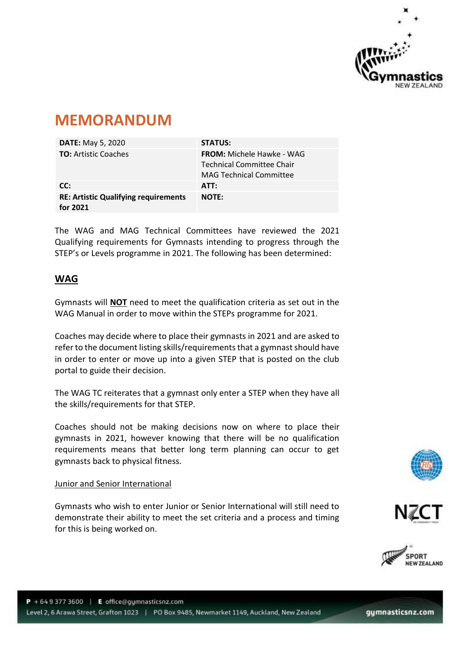

# **MEMORANDUM**

| <b>DATE:</b> May 5, 2020                                | <b>STATUS:</b>                                                                                  |
|---------------------------------------------------------|-------------------------------------------------------------------------------------------------|
| <b>TO:</b> Artistic Coaches                             | <b>FROM:</b> Michele Hawke - WAG<br>Technical Committee Chair<br><b>MAG Technical Committee</b> |
| CC:                                                     | ATT:                                                                                            |
| <b>RE: Artistic Qualifying requirements</b><br>for 2021 | <b>NOTE:</b>                                                                                    |

The WAG and MAG Technical Committees have reviewed the 2021 Qualifying requirements for Gymnasts intending to progress through the STEP's or Levels programme in 2021. The following has been determined:

# **WAG**

Gymnasts will **NOT** need to meet the qualification criteria as set out in the WAG Manual in order to move within the STEPs programme for 2021.

Coaches may decide where to place their gymnasts in 2021 and are asked to refer to the document listing skills/requirements that a gymnast should have in order to enter or move up into a given STEP that is posted on the club portal to guide their decision.

The WAG TC reiterates that a gymnast only enter a STEP when they have all the skills/requirements for that STEP.

Coaches should not be making decisions now on where to place their gymnasts in 2021, however knowing that there will be no qualification requirements means that better long term planning can occur to get gymnasts back to physical fitness.

## Junior and Senior International

Gymnasts who wish to enter Junior or Senior International will still need to demonstrate their ability to meet the set criteria and a process and timing for this is being worked on.